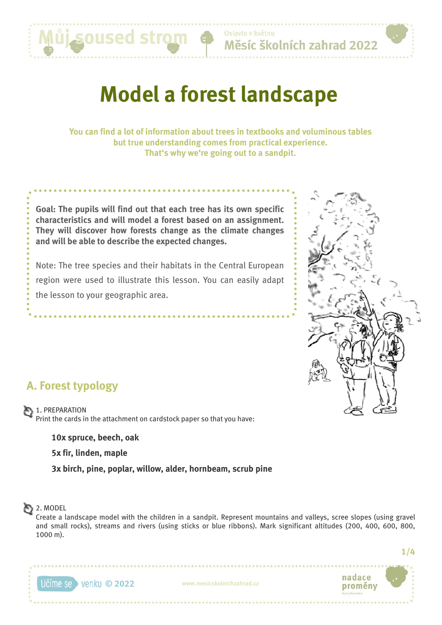

Oslavte v květnu Měsíc školních zahrad 2022

# **Model a forest landscape**

**You can find a lot of information about trees in textbooks and voluminous tables but true understanding comes from practical experience. That's why we're going out to a sandpit.**

**Goal: The pupils will find out that each tree has its own specific characteristics and will model a forest based on an assignment. They will discover how forests change as the climate changes and will be able to describe the expected changes.**

Note: The tree species and their habitats in the Central European region were used to illustrate this lesson. You can easily adapt the lesson to your geographic area.



# **A. Forest typology**

1. PREPARATION Print the cards in the attachment on cardstock paper so that you have:

**10x spruce, beech, oak**

**5x fir, linden, maple**

**3x birch, pine, poplar, willow, alder, hornbeam, scrub pine**

## $2.$  MODEL

Create a landscape model with the children in a sandpit. Represent mountains and valleys, scree slopes (using gravel and small rocks), streams and rivers (using sticks or blue ribbons). Mark significant altitudes (200, 400, 600, 800, 1000 m).

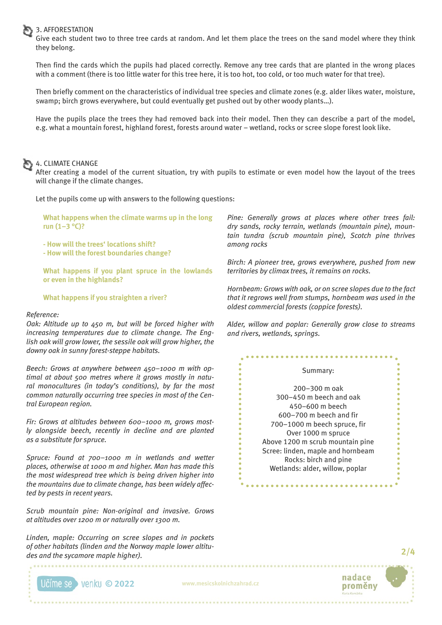### 3. AFFORESTATION

Give each student two to three tree cards at random. And let them place the trees on the sand model where they think they belong.

Then find the cards which the pupils had placed correctly. Remove any tree cards that are planted in the wrong places with a comment (there is too little water for this tree here, it is too hot, too cold, or too much water for that tree).

Then briefly comment on the characteristics of individual tree species and climate zones (e.g. alder likes water, moisture, swamp; birch grows everywhere, but could eventually get pushed out by other woody plants…).

Have the pupils place the trees they had removed back into their model. Then they can describe a part of the model, e.g. what a mountain forest, highland forest, forests around water – wetland, rocks or scree slope forest look like.

### 4. CLIMATE CHANGE

After creating a model of the current situation, try with pupils to estimate or even model how the layout of the trees will change if the climate changes.

Let the pupils come up with answers to the following questions:

**What happens when the climate warms up in the long run (1–3 °C)?**

**- How will the trees' locations shift?**

**- How will the forest boundaries change?**

**What happens if you plant spruce in the lowlands or even in the highlands?**

**What happens if you straighten a river?**

#### *Reference:*

*Oak: Altitude up to 450 m, but will be forced higher with increasing temperatures due to climate change. The English oak will grow lower, the sessile oak will grow higher, the downy oak in sunny forest-steppe habitats.* 

*Beech: Grows at anywhere between 450–1000 m with optimal at about 500 metres where it grows mostly in natural monocultures (in today's conditions), by far the most common naturally occurring tree species in most of the Central European region.*

*Fir: Grows at altitudes between 600–1000 m, grows mostly alongside beech, recently in decline and are planted as a substitute for spruce.*

*Spruce: Found at 700–1000 m in wetlands and wetter places, otherwise at 1000 m and higher. Man has made this the most widespread tree which is being driven higher into the mountains due to climate change, has been widely affected by pests in recent years.* 

*Scrub mountain pine: Non-original and invasive. Grows at altitudes over 1200 m or naturally over 1300 m.*

*Linden, maple: Occurring on scree slopes and in pockets of other habitats (linden and the Norway maple lower altitudes and the sycamore maple higher).*

*Pine: Generally grows at places where other trees fail: dry sands, rocky terrain, wetlands (mountain pine), mountain tundra (scrub mountain pine), Scotch pine thrives among rocks*

*Birch: A pioneer tree, grows everywhere, pushed from new territories by climax trees, it remains on rocks.*

*Hornbeam: Grows with oak, or on scree slopes due to the fact that it regrows well from stumps, hornbeam was used in the oldest commercial forests (coppice forests).*

*Alder, willow and poplar: Generally grow close to streams and rivers, wetlands, springs.*

#### Summary:

................

200–300 m oak 300–450 m beech and oak 450–600 m beech 600–700 m beech and fir 700–1000 m beech spruce, fir Over 1000 m spruce Above 1200 m scrub mountain pine Scree: linden, maple and hornbeam Rocks: birch and pine Wetlands: alder, willow, poplar

. . . . . . . . . . . . . .



**2/4**

**© 2022 www.mesicskolnichzahrad.cz**

..................................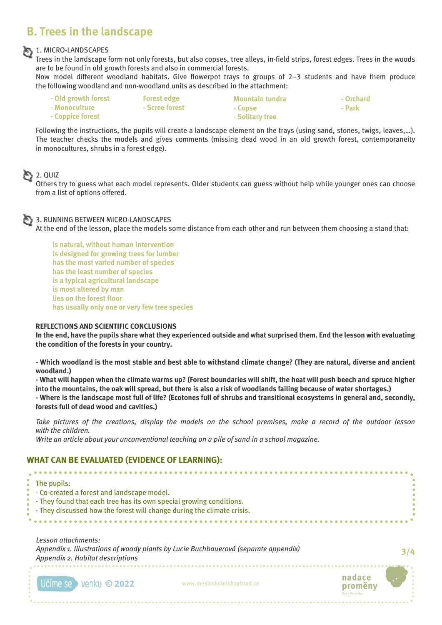# **B. Trees in the landscape**

### 1. MICRO-LANDSCAPES

Trees in the landscape form not only forests, but also copses, tree alleys, in-field strips, forest edges. Trees in the woods are to be found in old growth forests and also in commercial forests.

Now model different woodland habitats. Give flowerpot trays to groups of 2–3 students and have them produce the following woodland and non-woodland units as described in the attachment:

| - Old growth forest | <b>Forest edge</b> | Mountain tundra | - Orchard |
|---------------------|--------------------|-----------------|-----------|
| - Monoculture       | - Scree forest     | - Copse         | - Park    |
| - Coppice forest    |                    | - Solitary tree |           |

Following the instructions, the pupils will create a landscape element on the trays (using sand, stones, twigs, leaves,…). The teacher checks the models and gives comments (missing dead wood in an old growth forest, contemporaneity in monocultures, shrubs in a forest edge).

### $2.$  QUIZ

Others try to guess what each model represents. Older students can guess without help while younger ones can choose from a list of options offered.

### 3. RUNNING BETWEEN MICRO-LANDSCAPES

At the end of the lesson, place the models some distance from each other and run between them choosing a stand that:

**is natural, without human intervention is designed for growing trees for lumber has the most varied number of species has the least number of species is a typical agricultural landscape is most altered by man lies on the forest floor has usually only one or very few tree species**

### **REFLECTIONS AND SCIENTIFIC CONCLUSIONS**

**In the end, have the pupils share what they experienced outside and what surprised them. End the lesson with evaluating the condition of the forests in your country.**

**- Which woodland is the most stable and best able to withstand climate change? (They are natural, diverse and ancient woodland.)**

**- What will happen when the climate warms up? (Forest boundaries will shift, the heat will push beech and spruce higher into the mountains, the oak will spread, but there is also a risk of woodlands failing because of water shortages.)**

**- Where is the landscape most full of life? (Ecotones full of shrubs and transitional ecosystems in general and, secondly, forests full of dead wood and cavities.)**

*Take pictures of the creations, display the models on the school premises, make a record of the outdoor lesson with the children.*

*Write an article about your unconventional teaching on a pile of sand in a school magazine.*

### **WHAT CAN BE EVALUATED (EVIDENCE OF LEARNING):**

| The pupils:<br>- Co-created a forest and landscape model.<br>- They found that each tree has its own special growing conditions.<br>- They discussed how the forest will change during the climate crisis. |                                                                                     |                   |
|------------------------------------------------------------------------------------------------------------------------------------------------------------------------------------------------------------|-------------------------------------------------------------------------------------|-------------------|
| Lesson attachments:<br>Appendix 2. Habitat descriptions                                                                                                                                                    | Appendix 1. Illustrations of woody plants by Lucie Buchbauerová (separate appendix) | 3/4               |
| <b>venku © 2022</b>                                                                                                                                                                                        | www.mesicskolnichzahrad.cz                                                          | nadace<br>proměny |